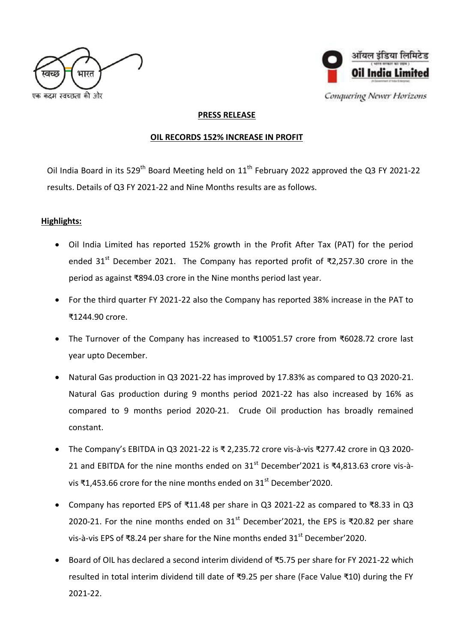



Conquering Newer Horizons

## **PRESS RELEASE**

## **OIL RECORDS 152% INCREASE IN PROFIT**

Oil India Board in its 529<sup>th</sup> Board Meeting held on  $11<sup>th</sup>$  February 2022 approved the Q3 FY 2021-22 results. Details of Q3 FY 2021-22 and Nine Months results are as follows.

## **Highlights:**

- Oil India Limited has reported 152% growth in the Profit After Tax (PAT) for the period ended 31<sup>st</sup> December 2021. The Company has reported profit of ₹2,257.30 crore in the period as against ₹894.03 crore in the Nine months period last year.
- For the third quarter FY 2021-22 also the Company has reported 38% increase in the PAT to ₹1244.90 crore.
- The Turnover of the Company has increased to ₹10051.57 crore from ₹6028.72 crore last year upto December.
- Natural Gas production in Q3 2021-22 has improved by 17.83% as compared to Q3 2020-21. Natural Gas production during 9 months period 2021-22 has also increased by 16% as compared to 9 months period 2020-21. Crude Oil production has broadly remained constant.
- The Company's EBITDA in Q3 2021-22 is ₹ 2,235.72 crore vis-à-vis ₹277.42 crore in Q3 2020- 21 and EBITDA for the nine months ended on  $31^{st}$  December'2021 is ₹4,813.63 crore vis-àvis ₹1,453.66 crore for the nine months ended on 31<sup>st</sup> December'2020.
- Company has reported EPS of ₹11.48 per share in Q3 2021-22 as compared to ₹8.33 in Q3 2020-21. For the nine months ended on 31<sup>st</sup> December'2021, the EPS is ₹20.82 per share vis-à-vis EPS of ₹8.24 per share for the Nine months ended  $31<sup>st</sup>$  December'2020.
- Board of OIL has declared a second interim dividend of ₹5.75 per share for FY 2021-22 which resulted in total interim dividend till date of ₹9.25 per share (Face Value ₹10) during the FY 2021-22.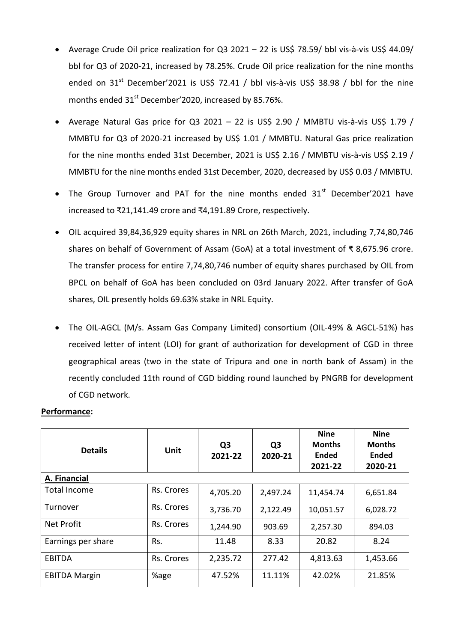- Average Crude Oil price realization for Q3 2021 22 is US\$ 78.59/ bbl vis-à-vis US\$ 44.09/ bbl for Q3 of 2020-21, increased by 78.25%. Crude Oil price realization for the nine months ended on  $31<sup>st</sup>$  December'2021 is US\$ 72.41 / bbl vis-à-vis US\$ 38.98 / bbl for the nine months ended 31<sup>st</sup> December'2020, increased by 85.76%.
- Average Natural Gas price for Q3 2021 22 is US\$ 2.90 / MMBTU vis-à-vis US\$ 1.79 / MMBTU for Q3 of 2020-21 increased by US\$ 1.01 / MMBTU. Natural Gas price realization for the nine months ended 31st December, 2021 is US\$ 2.16 / MMBTU vis-à-vis US\$ 2.19 / MMBTU for the nine months ended 31st December, 2020, decreased by US\$ 0.03 / MMBTU.
- The Group Turnover and PAT for the nine months ended  $31<sup>st</sup>$  December'2021 have increased to ₹21,141.49 crore and ₹4,191.89 Crore, respectively.
- OIL acquired 39,84,36,929 equity shares in NRL on 26th March, 2021, including 7,74,80,746 shares on behalf of Government of Assam (GoA) at a total investment of ₹ 8,675.96 crore. The transfer process for entire 7,74,80,746 number of equity shares purchased by OIL from BPCL on behalf of GoA has been concluded on 03rd January 2022. After transfer of GoA shares, OIL presently holds 69.63% stake in NRL Equity.
- The OIL-AGCL (M/s. [Assam Gas Company Limited\)](https://assamgas.org/) consortium (OIL-49% & AGCL-51%) has received letter of intent (LOI) for grant of authorization for development of CGD in three geographical areas (two in the state of Tripura and one in north bank of Assam) in the recently concluded 11th round of CGD bidding round launched by PNGRB for development of CGD network.

| <b>Details</b>       | <b>Unit</b> | Q <sub>3</sub><br>2021-22 | Q <sub>3</sub><br>2020-21 | <b>Nine</b><br><b>Months</b><br><b>Ended</b><br>2021-22 | <b>Nine</b><br><b>Months</b><br><b>Ended</b><br>2020-21 |  |  |  |  |
|----------------------|-------------|---------------------------|---------------------------|---------------------------------------------------------|---------------------------------------------------------|--|--|--|--|
| A. Financial         |             |                           |                           |                                                         |                                                         |  |  |  |  |
| <b>Total Income</b>  | Rs. Crores  | 4,705.20                  | 2,497.24                  | 11,454.74                                               | 6,651.84                                                |  |  |  |  |
| Turnover             | Rs. Crores  | 3,736.70                  | 2,122.49                  | 10,051.57                                               | 6,028.72                                                |  |  |  |  |
| <b>Net Profit</b>    | Rs. Crores  | 1,244.90                  | 903.69                    | 2,257.30                                                | 894.03                                                  |  |  |  |  |
| Earnings per share   | Rs.         | 11.48                     | 8.33                      | 20.82                                                   | 8.24                                                    |  |  |  |  |
| <b>EBITDA</b>        | Rs. Crores  | 2,235.72                  | 277.42                    | 4,813.63                                                | 1,453.66                                                |  |  |  |  |
| <b>EBITDA Margin</b> | %age        | 47.52%                    | 11.11%                    | 42.02%                                                  | 21.85%                                                  |  |  |  |  |